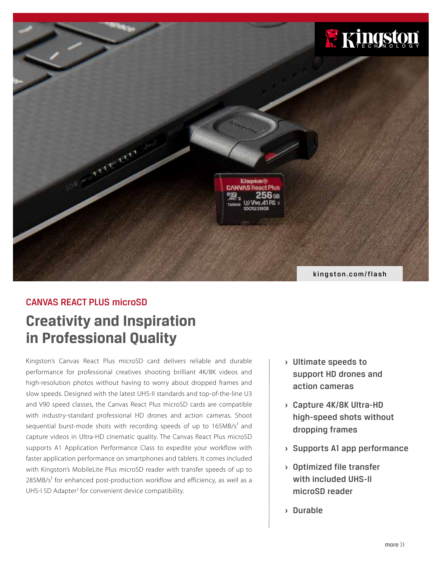

# **Creativity and Inspiration in Professional Quality** CANVAS REACT PLUS microSD

Kingston's Canvas React Plus microSD card delivers reliable and durable performance for professional creatives shooting brilliant 4K/8K videos and high-resolution photos without having to worry about dropped frames and slow speeds. Designed with the latest UHS-II standards and top-of-the-line U3 and V90 speed classes, the Canvas React Plus microSD cards are compatible with industry-standard professional HD drones and action cameras. Shoot sequential burst-mode shots with recording speeds of up to 165MB/s<sup>1</sup> and capture videos in Ultra-HD cinematic quality. The Canvas React Plus microSD supports A1 Application Performance Class to expedite your workflow with faster application performance on smartphones and tablets. It comes included with Kingston's MobileLite Plus microSD reader with transfer speeds of up to  $285MB/s<sup>1</sup>$  for enhanced post-production workflow and efficiency, as well as a UHS-I SD Adapter<sup>2</sup> for convenient device compatibility.

- **›** Ultimate speeds to support HD drones and action cameras
- **›** Capture 4K/8K Ultra-HD high-speed shots without dropping frames
- **›** Supports A1 app performance
- **›** Optimized file transfer with included UHS-II microSD reader
- **›** Durable